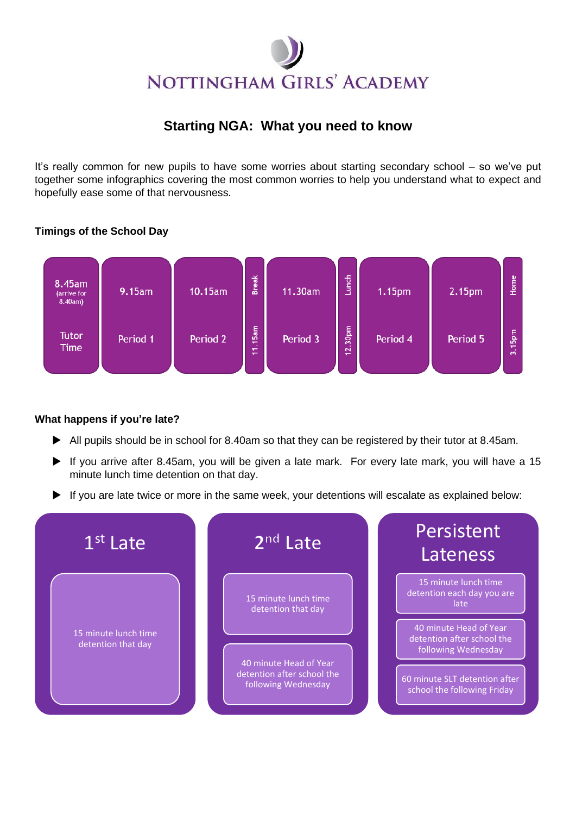# NOTTINGHAM GIRLS' ACADEMY

# **Starting NGA: What you need to know**

It's really common for new pupils to have some worries about starting secondary school – so we've put together some infographics covering the most common worries to help you understand what to expect and hopefully ease some of that nervousness.

## **Timings of the School Day**



### **What happens if you're late?**

- All pupils should be in school for 8.40am so that they can be registered by their tutor at 8.45am.
- If you arrive after 8.45am, you will be given a late mark. For every late mark, you will have a 15 minute lunch time detention on that day.
- If you are late twice or more in the same week, your detentions will escalate as explained below: